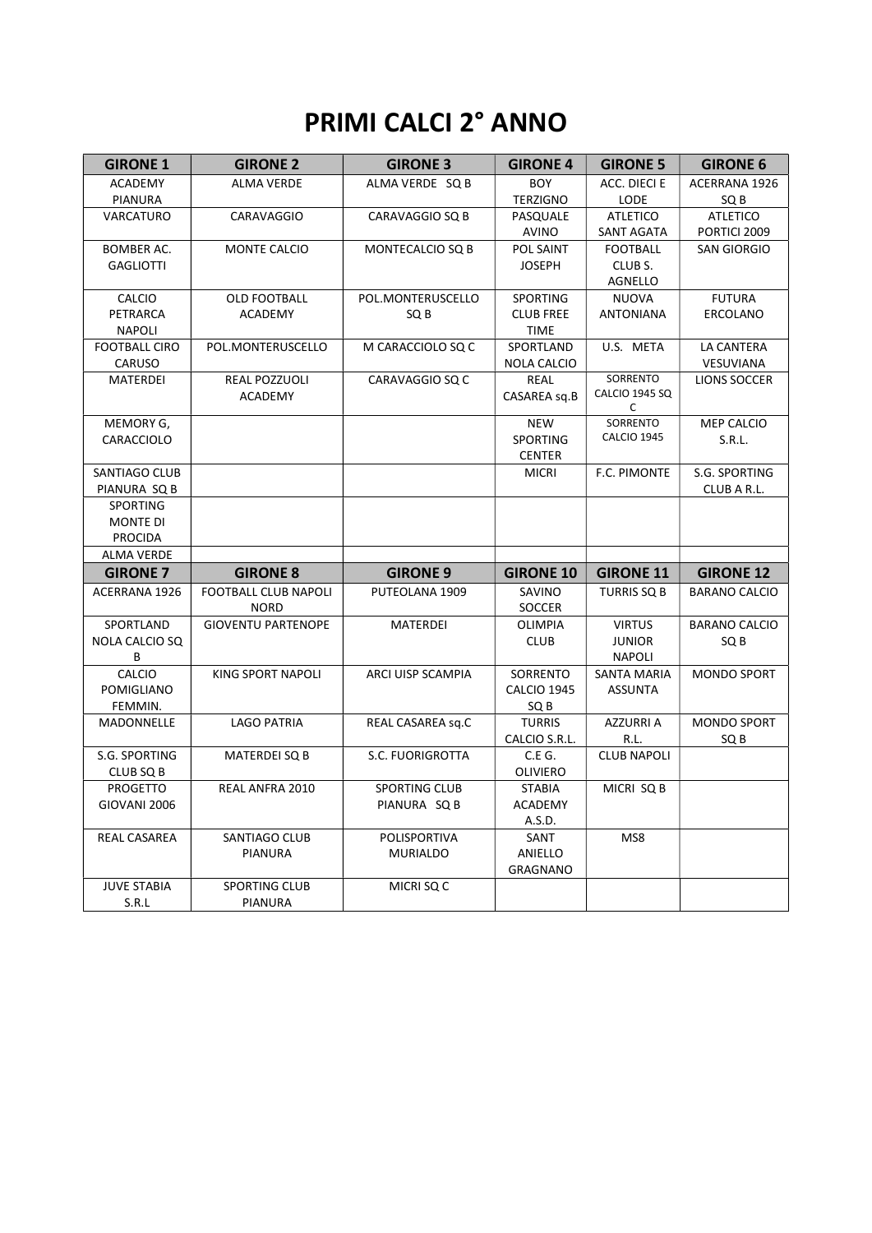# PRIMI CALCI 2° ANNO

| <b>GIRONE 1</b>                    | <b>GIRONE 2</b>             | <b>GIRONE 3</b>      | <b>GIRONE 4</b>                  | <b>GIRONE 5</b>       | <b>GIRONE 6</b>      |
|------------------------------------|-----------------------------|----------------------|----------------------------------|-----------------------|----------------------|
| <b>ACADEMY</b>                     | <b>ALMA VERDE</b>           | ALMA VERDE SQ B      | <b>BOY</b>                       | ACC. DIECI E          | ACERRANA 1926        |
| PIANURA                            |                             |                      | <b>TERZIGNO</b>                  | <b>LODE</b>           | SQ B                 |
| VARCATURO                          | CARAVAGGIO                  | CARAVAGGIO SQ B      | PASQUALE                         | <b>ATLETICO</b>       | <b>ATLETICO</b>      |
|                                    |                             |                      | AVINO                            | SANT AGATA            | PORTICI 2009         |
| <b>BOMBER AC.</b>                  | MONTE CALCIO                | MONTECALCIO SQ B     | POL SAINT                        | <b>FOOTBALL</b>       | <b>SAN GIORGIO</b>   |
| <b>GAGLIOTTI</b>                   |                             |                      | <b>JOSEPH</b>                    | CLUB S.               |                      |
|                                    |                             |                      |                                  | AGNELLO               |                      |
| CALCIO                             | OLD FOOTBALL                | POL.MONTERUSCELLO    | SPORTING                         | NUOVA                 | <b>FUTURA</b>        |
| PETRARCA<br><b>NAPOLI</b>          | ACADEMY                     | SQ B                 | <b>CLUB FREE</b><br><b>TIME</b>  | <b>ANTONIANA</b>      | ERCOLANO             |
| <b>FOOTBALL CIRO</b>               | POL.MONTERUSCELLO           | M CARACCIOLO SQ C    | SPORTLAND                        | U.S. META             | LA CANTERA           |
| CARUSO                             |                             |                      | <b>NOLA CALCIO</b>               |                       | VESUVIANA            |
| MATERDEI                           | <b>REAL POZZUOLI</b>        | CARAVAGGIO SQ C      | <b>REAL</b>                      | SORRENTO              | LIONS SOCCER         |
|                                    | ACADEMY                     |                      | CASAREA sq.B                     | <b>CALCIO 1945 SQ</b> |                      |
|                                    |                             |                      |                                  | C                     |                      |
| MEMORY G,                          |                             |                      | <b>NEW</b>                       | SORRENTO              | MEP CALCIO           |
| CARACCIOLO                         |                             |                      | <b>SPORTING</b>                  | CALCIO 1945           | S.R.L.               |
|                                    |                             |                      | <b>CENTER</b>                    |                       |                      |
| SANTIAGO CLUB                      |                             |                      | <b>MICRI</b>                     | F.C. PIMONTE          | S.G. SPORTING        |
| PIANURA SQ B                       |                             |                      |                                  |                       | CLUB A R.L.          |
| <b>SPORTING</b><br><b>MONTE DI</b> |                             |                      |                                  |                       |                      |
| <b>PROCIDA</b>                     |                             |                      |                                  |                       |                      |
| <b>ALMA VERDE</b>                  |                             |                      |                                  |                       |                      |
| <b>GIRONE 7</b>                    | <b>GIRONE 8</b>             | <b>GIRONE 9</b>      | <b>GIRONE 10</b>                 | <b>GIRONE 11</b>      | <b>GIRONE 12</b>     |
| ACERRANA 1926                      | <b>FOOTBALL CLUB NAPOLI</b> | PUTEOLANA 1909       | SAVINO                           | <b>TURRIS SQ B</b>    | <b>BARANO CALCIO</b> |
|                                    | <b>NORD</b>                 |                      | <b>SOCCER</b>                    |                       |                      |
| SPORTLAND                          | <b>GIOVENTU PARTENOPE</b>   | MATERDEI             | <b>OLIMPIA</b>                   | <b>VIRTUS</b>         | <b>BARANO CALCIO</b> |
| NOLA CALCIO SQ                     |                             |                      | <b>CLUB</b>                      | <b>JUNIOR</b>         | SQ B                 |
| В                                  |                             |                      |                                  | <b>NAPOLI</b>         |                      |
| <b>CALCIO</b>                      | <b>KING SPORT NAPOLI</b>    | ARCI UISP SCAMPIA    | SORRENTO                         | <b>SANTA MARIA</b>    | <b>MONDO SPORT</b>   |
| POMIGLIANO                         |                             |                      | <b>CALCIO 1945</b>               | <b>ASSUNTA</b>        |                      |
| FEMMIN.                            |                             |                      | SQ B                             |                       |                      |
| MADONNELLE                         | <b>LAGO PATRIA</b>          | REAL CASAREA sq.C    | <b>TURRIS</b>                    | <b>AZZURRIA</b>       | <b>MONDO SPORT</b>   |
|                                    |                             |                      | CALCIO S.R.L.                    | R.L.                  | SQ <sub>B</sub>      |
| S.G. SPORTING                      | MATERDEI SQ B               | S.C. FUORIGROTTA     | C.E G.                           | <b>CLUB NAPOLI</b>    |                      |
| CLUB SQ B<br><b>PROGETTO</b>       | REAL ANFRA 2010             | <b>SPORTING CLUB</b> | <b>OLIVIERO</b><br><b>STABIA</b> | MICRI SQ B            |                      |
| GIOVANI 2006                       |                             | PIANURA SQ B         | ACADEMY                          |                       |                      |
|                                    |                             |                      | A.S.D.                           |                       |                      |
| REAL CASAREA                       | SANTIAGO CLUB               | POLISPORTIVA         | SANT                             | MS8                   |                      |
|                                    | PIANURA                     | <b>MURIALDO</b>      | ANIELLO                          |                       |                      |
|                                    |                             |                      | <b>GRAGNANO</b>                  |                       |                      |
| <b>JUVE STABIA</b>                 | SPORTING CLUB               | MICRI SQ C           |                                  |                       |                      |
| S.R.L                              | PIANURA                     |                      |                                  |                       |                      |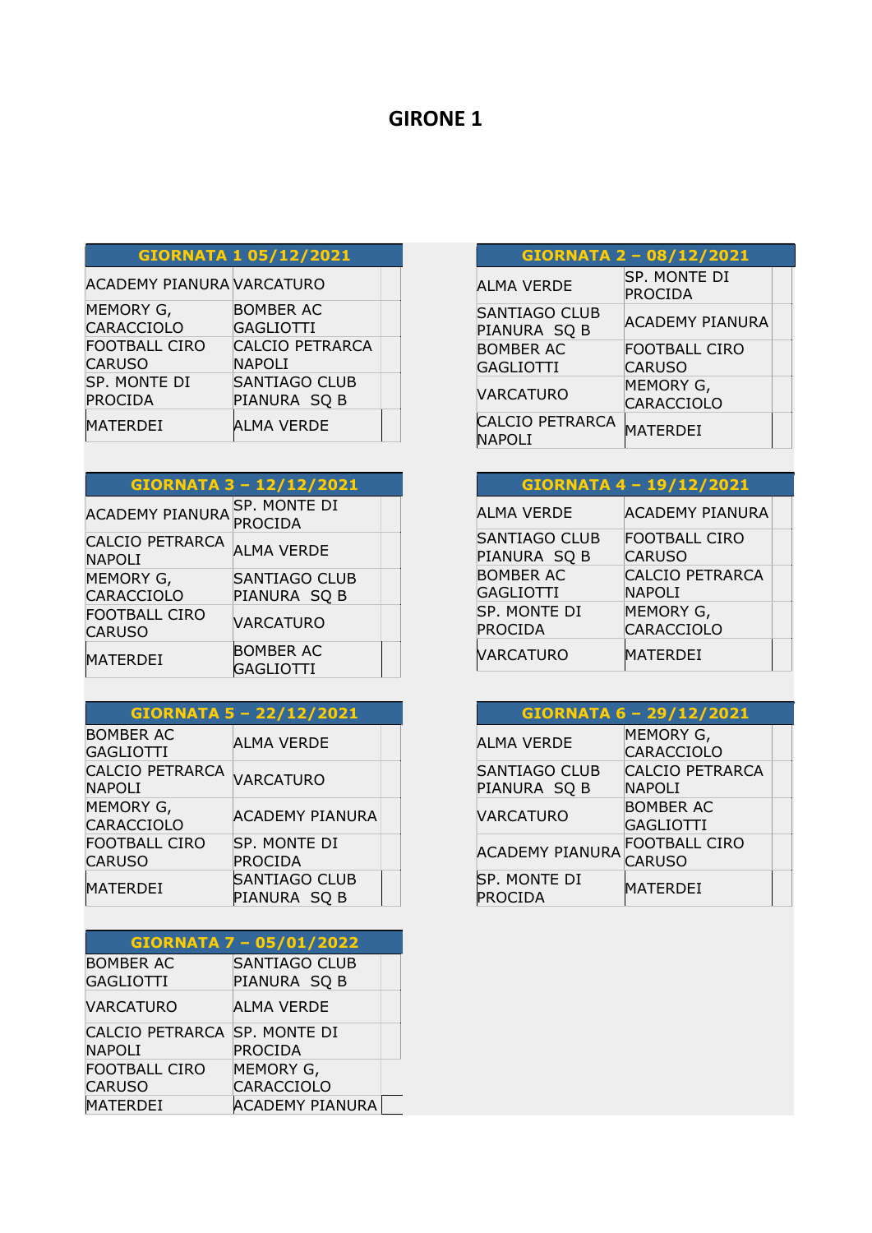#### GIORNATA 1 05/12/2021

| <b>ACADEMY PIANURA VARCATURO</b> |                        |  |
|----------------------------------|------------------------|--|
| MEMORY G,                        | <b>BOMBER AC</b>       |  |
| CARACCIOLO                       | <b>GAGLIOTTI</b>       |  |
| <b>FOOTBALL CIRO</b>             | <b>CALCIO PETRARCA</b> |  |
| <b>CARUSO</b>                    | <b>NAPOLI</b>          |  |
| SP. MONTE DI                     | <b>SANTIAGO CLUB</b>   |  |
| <b>PROCIDA</b>                   | PIANURA SQ B           |  |
| <b>MATERDEI</b>                  | ALMA VERDE             |  |

#### GIORNATA 3 – 12/12/2021

| <b>ACADEMY PIANURA</b>                  | SP. MONTE DI<br><b>PROCIDA</b>       |  |
|-----------------------------------------|--------------------------------------|--|
| <b>CALCIO PETRARCA</b><br><b>NAPOLI</b> | <b>ALMA VERDE</b>                    |  |
| MEMORY G,                               | SANTIAGO CLUB                        |  |
| CARACCIOLO                              | PIANURA SQ B                         |  |
| <b>FOOTBALL CIRO</b><br><b>CARUSO</b>   | <b>VARCATURO</b>                     |  |
| <b>MATERDEI</b>                         | <b>BOMBER AC</b><br><b>GAGLIOTTI</b> |  |

#### GIORNATA 5 – 22/12/2021 BOMBER AC BOMBER AC<br>GAGLIOTTI PLMA VERDE CALCIO PETRARCA<br>NAPOLI MEMORY G,<br>CARACCIOLO ACADEMY PIANURA FOOTBALL CIRO **CARUSO** SP. MONTE DI PROCIDA MATERDEI SANTIAGO CLUB PIANURA SQ B

|                                               | <b>GIORNATA 7 - 05/01/2022</b>       |  |
|-----------------------------------------------|--------------------------------------|--|
| <b>BOMBER AC</b><br><b>GAGLIOTTI</b>          | <b>SANTIAGO CLUB</b><br>PIANURA SQ B |  |
| <b>VARCATURO</b>                              | ALMA VERDE                           |  |
| CALCIO PETRARCA SP. MONTE DI<br><b>NAPOLI</b> | <b>PROCIDA</b>                       |  |
| <b>FOOTBALL CIRO</b>                          | MEMORY G,                            |  |
| <b>CARUSO</b>                                 | <b>CARACCIOLO</b>                    |  |
| <b>MATERDEI</b>                               | <b>ACADEMY PIANURA</b>               |  |

|                                         | <b>GIORNATA 2 - 08/12/2021</b> |  |
|-----------------------------------------|--------------------------------|--|
| <b>ALMA VERDE</b>                       | SP. MONTE DI<br><b>PROCIDA</b> |  |
| <b>SANTIAGO CLUB</b><br>PIANURA SQ B    | <b>ACADEMY PIANURA</b>         |  |
| <b>BOMBER AC</b>                        | FOOTBALL CIRO                  |  |
| GAGLIOTTI                               | <b>CARUSO</b>                  |  |
| <b>VARCATURO</b>                        | MEMORY G,<br>CARACCIOLO        |  |
| <b>CALCIO PETRARCA</b><br><b>NAPOLI</b> | <b>MATERDEI</b>                |  |

|                                      | <b>GIORNATA 4-19/12/2021</b>            |  |
|--------------------------------------|-----------------------------------------|--|
| ALMA VERDE                           | <b>ACADEMY PIANURA</b>                  |  |
| SANTIAGO CLUB<br>PIANURA SQ B        | <b>FOOTBALL CIRO</b><br><b>CARUSO</b>   |  |
| <b>BOMBER AC</b><br><b>GAGLIOTTI</b> | <b>CALCIO PETRARCA</b><br><b>NAPOLI</b> |  |
| SP. MONTE DI<br><b>PROCIDA</b>       | MEMORY G,<br>CARACCIOLO                 |  |
| <b>VARCATURO</b>                     | MATERDEI                                |  |

| GIORNATA 6 - 29/12/2021        |                        |  |
|--------------------------------|------------------------|--|
| <b>ALMA VERDE</b>              | MEMORY G,              |  |
|                                | CARACCIOLO             |  |
| <b>SANTIAGO CLUB</b>           | <b>CALCIO PETRARCA</b> |  |
| PIANURA SQ B                   | NAPOLI                 |  |
|                                | <b>BOMBER AC</b>       |  |
| <b>VARCATURO</b>               | <b>GAGLIOTTI</b>       |  |
|                                | <b>FOOTBALL CIRO</b>   |  |
| <b>ACADEMY PIANURA</b>         | <b>CARUSO</b>          |  |
| SP. MONTE DI<br><b>PROCIDA</b> | MATERDEI               |  |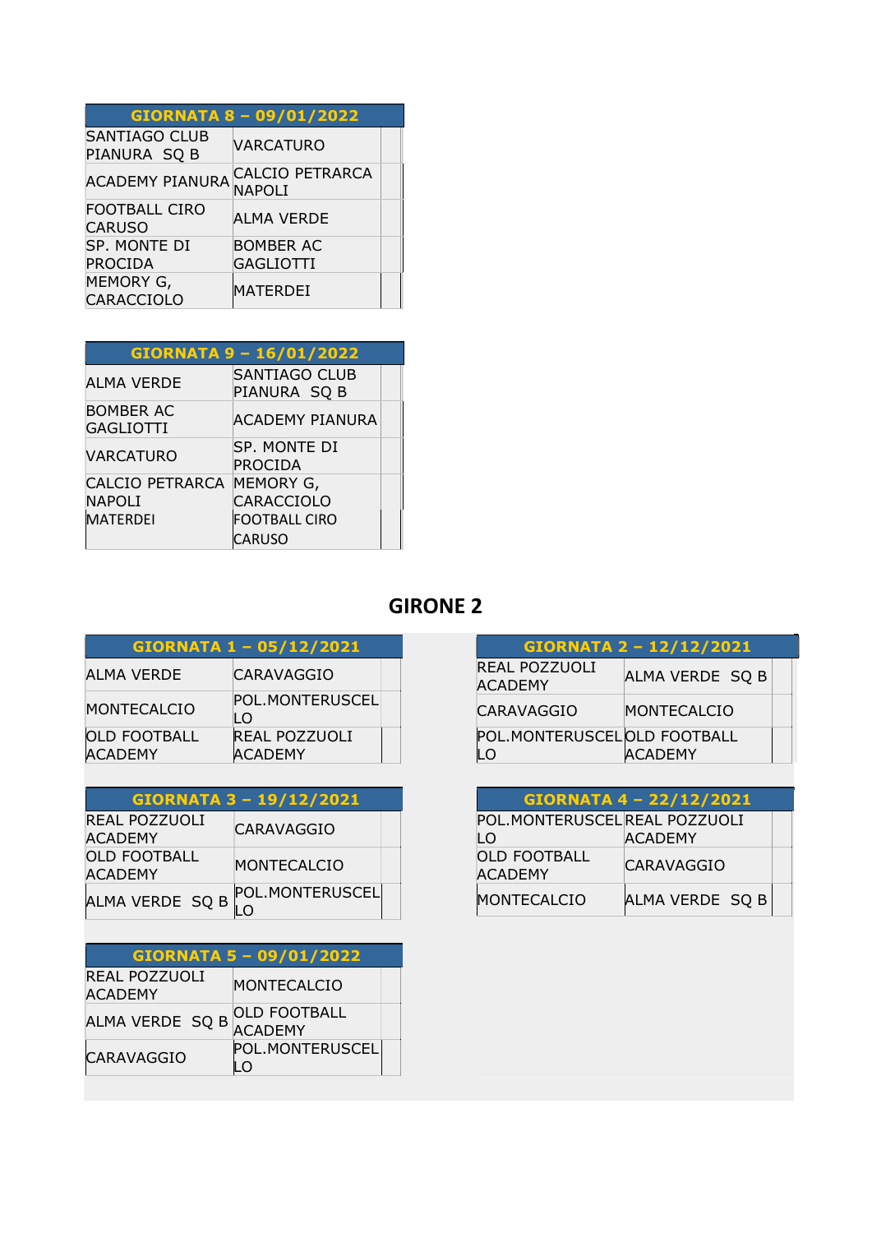| <b>GIORNATA 8 - 09/01/2022</b>       |                                  |  |  |
|--------------------------------------|----------------------------------|--|--|
| <b>SANTIAGO CLUB</b><br>PIANURA SQ B | <b>VARCATURO</b>                 |  |  |
| <b>ACADEMY PIANURA</b>               | <b>CALCIO PETRARCA</b><br>NAPOLI |  |  |
| FOOTBALL CIRO<br><b>CARUSO</b>       | ALMA VERDE                       |  |  |
| SP. MONTE DI                         | <b>BOMBER AC</b>                 |  |  |
| <b>PROCIDA</b>                       | <b>GAGLIOTTI</b>                 |  |  |
| MEMORY G,<br>CARACCIOLO              | MATERDEI                         |  |  |

| GIORNATA 9 - 16/01/2022              |                                      |  |  |
|--------------------------------------|--------------------------------------|--|--|
| <b>ALMA VERDE</b>                    | <b>SANTIAGO CLUB</b><br>PIANURA SQ B |  |  |
| <b>BOMBER AC</b><br><b>GAGLIOTTI</b> | <b>ACADEMY PIANURA</b>               |  |  |
| <b>VARCATURO</b>                     | SP. MONTE DI<br><b>PROCIDA</b>       |  |  |
| <b>CALCIO PETRARCA</b>               | MEMORY G,                            |  |  |
| <b>NAPOLI</b>                        | CARACCIOLO                           |  |  |
| <b>MATERDEI</b>                      | <b>FOOTBALL CIRO</b>                 |  |  |
|                                      | CARUSO                               |  |  |

| GIORNATA 1 - 05/12/2021               |                                        |  |  |
|---------------------------------------|----------------------------------------|--|--|
| ALMA VERDE                            | CARAVAGGIO                             |  |  |
| <b>MONTECALCIO</b>                    | POL.MONTERUSCEL<br>LO                  |  |  |
| <b>OLD FOOTBALL</b><br><b>ACADEMY</b> | <b>REAL POZZUOLI</b><br><b>ACADEMY</b> |  |  |

| GIORNATA 3 - 19/12/2021               |                   |  |
|---------------------------------------|-------------------|--|
| REAL POZZUOLI<br><b>ACADEMY</b>       | <b>CARAVAGGIO</b> |  |
| <b>OLD FOOTBALL</b><br><b>ACADEMY</b> | MONTECALCIO       |  |
| ALMA VERDE SQ B                       | POL.MONTERUSCEL   |  |
|                                       |                   |  |

| GIORNATA 5 - 09/01/2022         |                                       |  |  |
|---------------------------------|---------------------------------------|--|--|
| REAL POZZUOLI<br><b>ACADEMY</b> | MONTECALCIO                           |  |  |
| ALMA VERDE SQ B                 | <b>OLD FOOTBALL</b><br><b>ACADEMY</b> |  |  |
| <b>CARAVAGGIO</b>               | POL.MONTERUSCEL<br>LΟ                 |  |  |

| GIORNATA 2 - 12/12/2021           |                 |  |  |
|-----------------------------------|-----------------|--|--|
| REAL POZZUOLI<br><b>ACADEMY</b>   | ALMA VERDE SQ B |  |  |
| CARAVAGGIO                        | MONTECALCIO     |  |  |
| POL.MONTERUSCELOLD FOOTBALL<br>LO | <b>ACADEMY</b>  |  |  |

| GIORNATA 4 - 22/12/2021               |                   |  |
|---------------------------------------|-------------------|--|
| POL.MONTERUSCELREAL POZZUOLI          |                   |  |
| LO                                    | <b>ACADEMY</b>    |  |
| <b>OLD FOOTBALL</b><br><b>ACADEMY</b> | <b>CARAVAGGIO</b> |  |
| MONTECALCIO                           | ALMA VERDE SQ B   |  |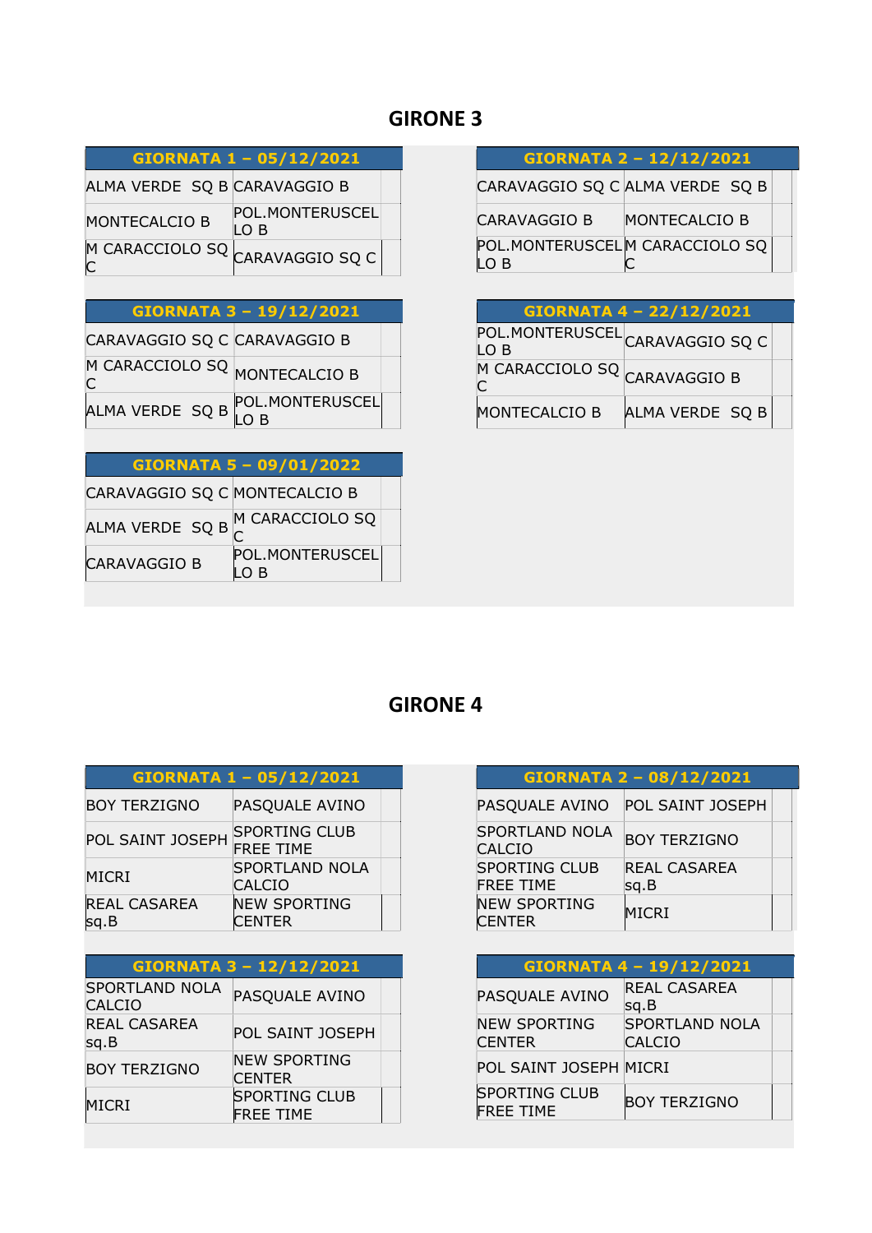#### GIORNATA 1 – 05/12/2021

ALMA VERDE SQ B CARAVAGGIO B MONTECALCIO B POL.MONTERUSCEL LO B

M CARACCIOLO SQ <mark>CARAVAGGIO SQ C</mark><br>C

| GIORNATA 3 - 19/12/2021 |  |  |
|-------------------------|--|--|
|                         |  |  |

| CARAVAGGIO SO C CARAVAGGIO B       |  |
|------------------------------------|--|
| M CARACCIOLO SQ MONTECALCIO B<br>C |  |

ALMA VERDE SQ B POL.MONTERUSCEL LO B

#### GIORNATA 5 – 09/01/2022

CARAVAGGIO SQ C MONTECALCIO B ALMA VERDE  $\left. \begin{matrix} \mathsf{S}\mathsf{Q} \mathsf{B} \end{matrix} \right|^\mathsf{M}$  CARACCIOLO SQ CARAVAGGIO B POL.MONTERUSCEL LO B

| <b>GIORNATA 2 - 12/12/2021</b> |  |  |
|--------------------------------|--|--|
|                                |  |  |

CARAVAGGIO SQ C ALMA VERDE SQ B

| CARAVAGGIO B                   | MONTECALCIO B |  |
|--------------------------------|---------------|--|
| POL.MONTERUSCELM CARACCIOLO SQ |               |  |
| LO B                           |               |  |

| <b>GIORNATA 4 - 22/12/2021</b>                     |                 |  |  |
|----------------------------------------------------|-----------------|--|--|
| POL.MONTERUSCEL CARAVAGGIO SQ C<br>LO <sub>B</sub> |                 |  |  |
| M CARACCIOLO SQ CARAVAGGIO B                       |                 |  |  |
| MONTECALCIO B                                      | ALMA VERDE SQ B |  |  |

| GIORNATA 1 - 05/12/2021      |                                          |  |
|------------------------------|------------------------------------------|--|
| <b>BOY TERZIGNO</b>          | PASQUALE AVINO                           |  |
| POL SAINT JOSEPH             | <b>SPORTING CLUB</b><br><b>FREE TIME</b> |  |
| MICRI                        | <b>SPORTLAND NOLA</b><br><b>CALCIO</b>   |  |
| <b>REAL CASAREA</b><br>lsg.B | <b>NEW SPORTING</b><br><b>CENTER</b>     |  |

| GIORNATA 3 - 12/12/2021                |                                          |  |  |
|----------------------------------------|------------------------------------------|--|--|
| <b>SPORTLAND NOLA</b><br><b>CALCIO</b> | PASQUALE AVINO                           |  |  |
| <b>REAL CASAREA</b><br>sq.B            | <b>POL SAINT JOSEPH</b>                  |  |  |
| <b>BOY TERZIGNO</b>                    | <b>NEW SPORTING</b><br><b>CENTER</b>     |  |  |
| <b>MICRI</b>                           | <b>SPORTING CLUB</b><br><b>FREE TIME</b> |  |  |

| GIORNATA 2 - 08/12/2021                  |                             |  |
|------------------------------------------|-----------------------------|--|
| PASQUALE AVINO                           | POL SAINT JOSEPH            |  |
| <b>SPORTLAND NOLA</b><br><b>CALCIO</b>   | <b>BOY TERZIGNO</b>         |  |
| <b>SPORTING CLUB</b><br><b>FREE TIME</b> | <b>REAL CASAREA</b><br>sg.B |  |
| <b>NEW SPORTING</b><br><b>CENTER</b>     | <b>MICRI</b>                |  |

| <b>GIORNATA 4-19/12/2021</b>             |                                 |  |
|------------------------------------------|---------------------------------|--|
| PASQUALE AVINO                           | REAL CASAREA<br>sg.B            |  |
| <b>NEW SPORTING</b><br>CENTER            | <b>SPORTLAND NOLA</b><br>CALCIO |  |
| POL SAINT JOSEPH MICRI                   |                                 |  |
| <b>SPORTING CLUB</b><br><b>FREE TIME</b> | <b>BOY TERZIGNO</b>             |  |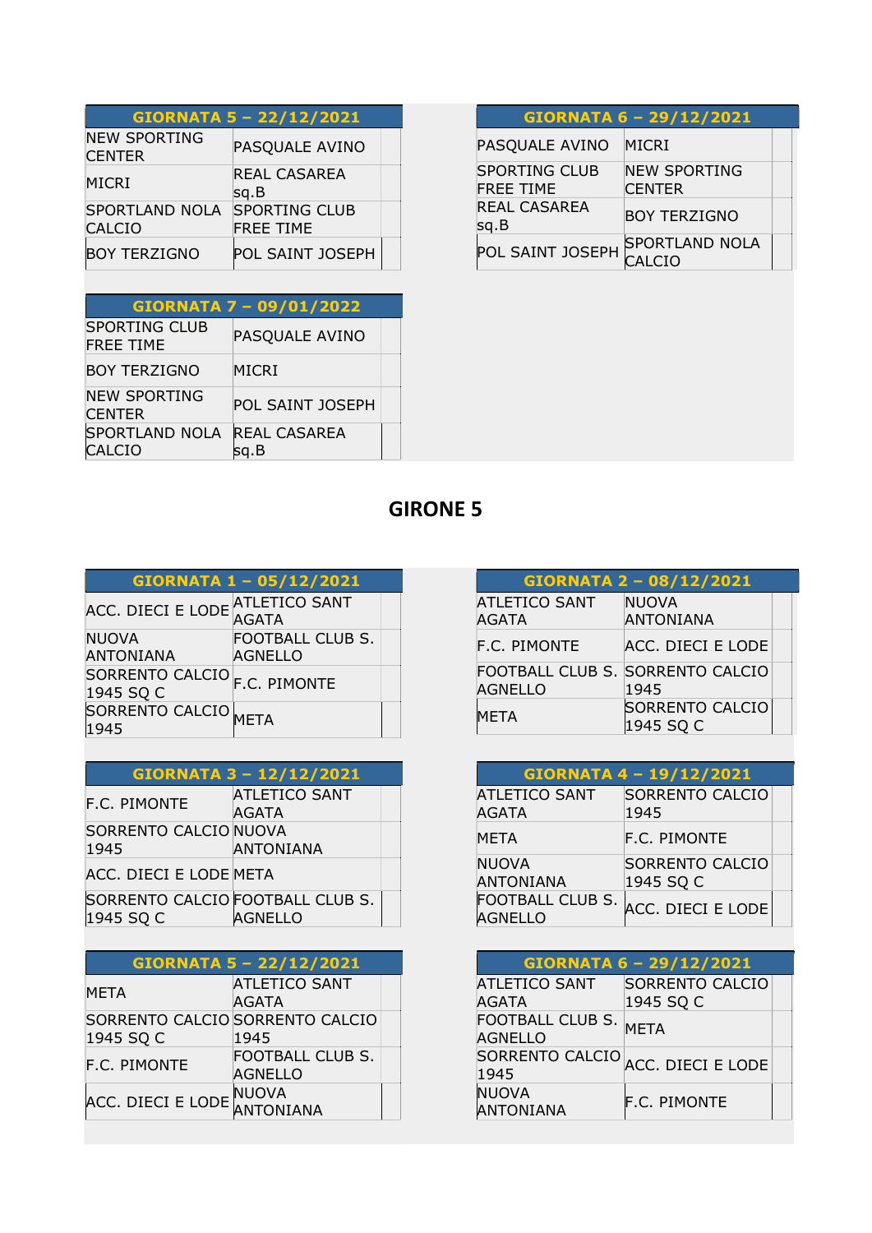| GIORNATA 5 - 22/12/2021                |                                          |  |
|----------------------------------------|------------------------------------------|--|
| <b>NEW SPORTING</b><br><b>CENTER</b>   | PASQUALE AVINO                           |  |
| <b>MICRI</b>                           | REAL CASAREA<br>sq.B                     |  |
| <b>SPORTLAND NOLA</b><br><b>CALCIO</b> | <b>SPORTING CLUB</b><br><b>FREE TIME</b> |  |
| <b>BOY TERZIGNO</b>                    | POL SAINT JOSEPH                         |  |

|                                          | GIORNATA 7 - 09/01/2022     |  |
|------------------------------------------|-----------------------------|--|
| <b>SPORTING CLUB</b><br><b>FREE TIME</b> | PASQUALE AVINO              |  |
| <b>BOY TERZIGNO</b>                      | MICRI                       |  |
| <b>NEW SPORTING</b><br><b>CENTER</b>     | POL SAINT IOSEPH            |  |
| <b>SPORTLAND NOLA</b><br>CALCIO          | <b>REAL CASAREA</b><br>sg.B |  |

|                                          | GIORNATA 6 - 29/12/2021              |  |
|------------------------------------------|--------------------------------------|--|
| PASQUALE AVINO                           | MICRI                                |  |
| <b>SPORTING CLUB</b><br><b>FREE TIME</b> | <b>NEW SPORTING</b><br><b>CENTER</b> |  |
| <b>REAL CASAREA</b><br>sq.B              | <b>BOY TERZIGNO</b>                  |  |
| POL SAINT JOSEPH                         | <b>SPORTLAND NOLA</b><br>CIO         |  |

|                                  | GIORNATA 1 - 05/12/2021                   |  |
|----------------------------------|-------------------------------------------|--|
| ACC. DIECI E LODE                | ATLETICO SANT<br>AGATA                    |  |
| <b>NUOVA</b><br><b>ANTONIANA</b> | <b>FOOTBALL CLUB S.</b><br><b>AGNELLO</b> |  |
| SORRENTO CALCIO<br>1945 SQ C     | F.C. PIMONTE                              |  |
| SORRENTO CALCIO META<br>1945     |                                           |  |

#### GIORNATA 3 – 12/12/2021

| <b>F.C. PIMONTE</b>                           | <b>ATLETICO SANT</b><br>AGATA |
|-----------------------------------------------|-------------------------------|
| SORRENTO CALCIO NUOVA<br>1945                 | ANTONIANA                     |
| ACC. DIECI E LODE META                        |                               |
| SORRENTO CALCIO FOOTBALL CLUB S.<br>1945 SQ C | <b>AGNELLO</b>                |

|                         | <b>GIORNATA 5 - 22/12/2021</b>            |  |
|-------------------------|-------------------------------------------|--|
| <b>META</b>             | <b>ATLETICO SANT</b><br>AGATA             |  |
| 1945 SQ C               | SORRENTO CALCIO SORRENTO CALCIO<br>1945   |  |
| <b>F.C. PIMONTE</b>     | <b>FOOTBALL CLUB S.</b><br><b>AGNELLO</b> |  |
| ACC. DIECI E LODE NUOVA | <b>ANTONIANA</b>                          |  |

| GIORNATA 2 - 08/12/2021              |                                          |  |
|--------------------------------------|------------------------------------------|--|
| <b>ATLETICO SANT</b><br><b>AGATA</b> | <b>NUOVA</b><br><b>ANTONIANA</b>         |  |
| <b>F.C. PIMONTE</b>                  | ACC. DIECI E LODE                        |  |
| <b>AGNELLO</b>                       | FOOTBALL CLUB S. SORRENTO CALCIO<br>1945 |  |
| <b>META</b>                          | <b>SORRENTO CALCIO</b><br>1945 SQ C      |  |

| <b>GIORNATA 4-19/12/2021</b>         |                                     |
|--------------------------------------|-------------------------------------|
| <b>ATLETICO SANT</b><br><b>AGATA</b> | SORRENTO CALCIO<br>1945             |
| <b>META</b>                          | <b>F.C. PIMONTE</b>                 |
| <b>NUOVA</b><br><b>ANTONIANA</b>     | <b>SORRENTO CALCIO</b><br>1945 SQ C |
| FOOTBALL CLUB S.<br><b>AGNELLO</b>   | ACC. DIECI E LODE                   |

| GIORNATA 6 - 29/12/2021            |                                   |  |
|------------------------------------|-----------------------------------|--|
| <b>ATLETICO SANT</b>               | <b>SORRENTO CALCIO</b>            |  |
| AGATA                              | 1945 SQ C                         |  |
| FOOTBALL CLUB S.<br><b>AGNELLO</b> | <b>MFTA</b>                       |  |
| 1945                               | SORRENTO CALCIO ACC. DIECI E LODE |  |
| <b>NUOVA</b><br><b>ANTONIANA</b>   | <b>F.C. PIMONTE</b>               |  |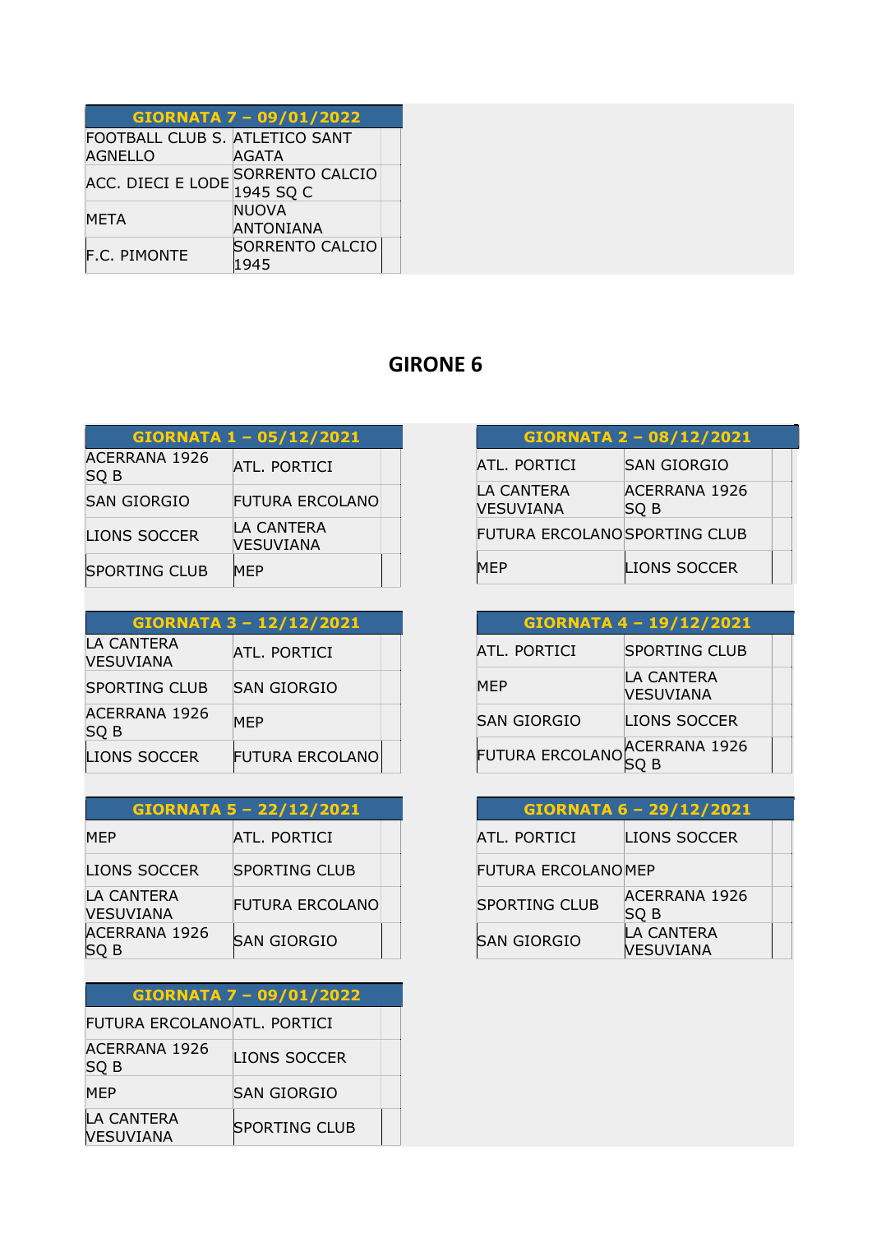|                                | <b>GIORNATA 7 - 09/01/2022</b>                 |
|--------------------------------|------------------------------------------------|
| FOOTBALL CLUB S. ATLETICO SANT |                                                |
| <b>AGNELLO</b>                 | AGATA                                          |
|                                | ACC. DIECI E LODE SORRENTO CALCIO<br>1945 SQ C |
| <b>META</b>                    | <b>NUOVA</b><br><b>ANTONIANA</b>               |
| F.C. PIMONTE                   | SORRENTO CALCIO<br>1945                        |

|                              | GIORNATA 1 - 05/12/2021        |  |
|------------------------------|--------------------------------|--|
| <b>ACERRANA 1926</b><br>SQ B | ATL. PORTICI                   |  |
| <b>SAN GIORGIO</b>           | FUTURA ERCOLANO                |  |
| <b>LIONS SOCCER</b>          | LA CANTERA<br><b>VESUVIANA</b> |  |
| <b>SPORTING CLUB</b>         | <b>MEP</b>                     |  |

| <b>GIORNATA 3 - 12/12/2021</b> |                        |  |
|--------------------------------|------------------------|--|
| LA CANTERA<br><b>VESUVIANA</b> | ATL. PORTICI           |  |
| <b>SPORTING CLUB</b>           | <b>SAN GIORGIO</b>     |  |
| <b>ACERRANA 1926</b><br>SQ B   | <b>MEP</b>             |  |
| <b>LIONS SOCCER</b>            | <b>FUTURA ERCOLANO</b> |  |

| <b>GIORNATA 5 - 22/12/2021</b> |                        |  |
|--------------------------------|------------------------|--|
| MEP                            | ATL. PORTICI           |  |
| <b>LIONS SOCCER</b>            | <b>SPORTING CLUB</b>   |  |
| LA CANTERA<br><b>VESUVIANA</b> | <b>FUTURA ERCOLANO</b> |  |
| <b>ACERRANA 1926</b><br>) B    | ISAN GIORGIO           |  |

| <b>GIORNATA 7 - 09/01/2022</b> |                      |  |
|--------------------------------|----------------------|--|
| FUTURA ERCOLANOATL. PORTICI    |                      |  |
| ACERRANA 1926<br>SQ B          | <b>LIONS SOCCER</b>  |  |
| <b>MEP</b>                     | <b>SAN GIORGIO</b>   |  |
| LA CANTERA<br><b>VESUVIANA</b> | <b>SPORTING CLUB</b> |  |

| GIORNATA 2 - 08/12/2021        |                              |  |
|--------------------------------|------------------------------|--|
| ATL. PORTICI                   | <b>SAN GIORGIO</b>           |  |
| LA CANTERA<br><b>VESUVIANA</b> | <b>ACERRANA 1926</b><br>SQ B |  |
| FUTURA ERCOLANO SPORTING CLUB  |                              |  |
| MEP                            | LIONS SOCCER                 |  |

| GIORNATA 4 - 19/12/2021       |                                       |  |
|-------------------------------|---------------------------------------|--|
| ATL. PORTICI                  | SPORTING CLUB                         |  |
| <b>MEP</b>                    | <b>LA CANTERA</b><br><b>VESUVIANA</b> |  |
| <b>SAN GIORGIO</b>            | <b>LIONS SOCCER</b>                   |  |
| FUTURA ERCOLANO ACERRANA 1926 |                                       |  |

| GIORNATA 6 - 29/12/2021   |                                       |  |
|---------------------------|---------------------------------------|--|
| <b>ATL. PORTICI</b>       | LIONS SOCCER                          |  |
| <b>FUTURA ERCOLANOMEP</b> |                                       |  |
| <b>SPORTING CLUB</b>      | <b>ACERRANA 1926</b><br>SQ B          |  |
| <b>SAN GIORGIO</b>        | <b>LA CANTERA</b><br><b>VESUVIANA</b> |  |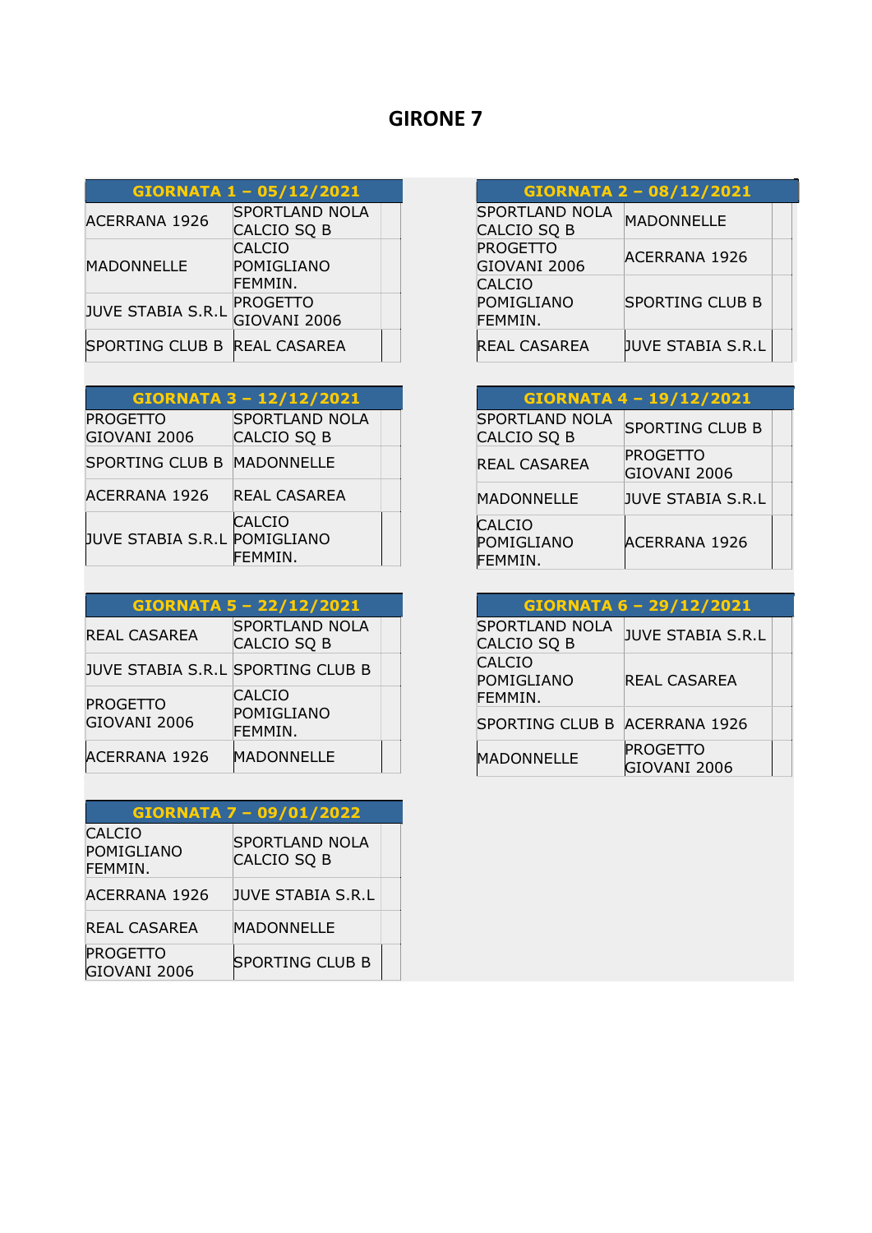#### GIORNATA 1 – 05/12/2021  $SPORTLAND NOLA$

| <b>ACERRANA 1926</b>                          | SPUNTLAND NULA  |  |
|-----------------------------------------------|-----------------|--|
|                                               | CALCIO SQ B     |  |
|                                               | <b>CALCIO</b>   |  |
| <b>MADONNELLE</b><br><b>JUVE STABIA S.R.L</b> | POMIGLIANO      |  |
|                                               | FEMMIN.         |  |
|                                               | <b>PROGETTO</b> |  |
|                                               | GIOVANI 2006    |  |
| SPORTING CLUB B REAL CASAREA                  |                 |  |
|                                               |                 |  |

| <b>GIORNATA 3 - 12/12/2021</b>  |                                      |  |
|---------------------------------|--------------------------------------|--|
| <b>PROGETTO</b><br>GIOVANI 2006 | <b>SPORTLAND NOLA</b><br>CALCIO SQ B |  |
| SPORTING CLUB B MADONNELLE      |                                      |  |
| <b>ACERRANA 1926</b>            | REAL CASAREA                         |  |
| JUVE STABIA S.R.L POMIGLIANO    | <b>CALCIO</b><br>FEMMIN.             |  |

| GIORNATA 5 - 22/12/2021           |                                        |  |
|-----------------------------------|----------------------------------------|--|
| REAL CASAREA                      | <b>SPORTLAND NOLA</b><br>CALCIO SQ B   |  |
| JUVE STABIA S.R.L SPORTING CLUB B |                                        |  |
| <b>PROGETTO</b><br>GIOVANI 2006   | <b>CALCIO</b><br>POMIGLIANO<br>FEMMIN. |  |
| <b>ACERRANA 1926</b>              | <b>MADONNELLE</b>                      |  |

| <b>GIORNATA 7 - 09/01/2022</b>         |                                      |  |
|----------------------------------------|--------------------------------------|--|
| <b>CALCIO</b><br>POMIGLIANO<br>FEMMIN. | <b>SPORTLAND NOLA</b><br>CALCIO SQ B |  |
| <b>ACERRANA 1926</b>                   | <b>JUVE STABIA S.R.L</b>             |  |
| <b>REAL CASAREA</b>                    | MADONNELLE                           |  |
| <b>PROGETTO</b><br>GIOVANI 2006        | <b>SPORTING CLUB B</b>               |  |

| <b>GIORNATA 2 - 08/12/2021</b>       |                        |
|--------------------------------------|------------------------|
| <b>SPORTLAND NOLA</b><br>CALCIO SQ B | <b>MADONNELLE</b>      |
| <b>PROGETTO</b><br>GIOVANI 2006      | ACERRANA 1926          |
| CALCIO<br>POMIGLIANO<br>FEMMIN.      | <b>SPORTING CLUB B</b> |
| <b>REAL CASAREA</b>                  | JUVE STABIA S.R.L      |

| GIORNATA 4 - 19/12/2021                |                                 |  |
|----------------------------------------|---------------------------------|--|
| <b>SPORTLAND NOLA</b><br>CALCIO SQ B   | <b>SPORTING CLUB B</b>          |  |
| REAL CASAREA                           | <b>PROGETTO</b><br>GIOVANI 2006 |  |
| MADONNELLE                             | <b>JUVE STABIA S.R.L</b>        |  |
| <b>CALCIO</b><br>POMIGLIANO<br>FEMMIN. | <b>ACERRANA 1926</b>            |  |

| GIORNATA 6 - 29/12/2021                     |                                 |  |
|---------------------------------------------|---------------------------------|--|
| <b>SPORTLAND NOLA</b><br><b>CALCIO SQ B</b> | <b>JUVE STABIA S.R.L</b>        |  |
| <b>CALCIO</b><br>POMIGLIANO<br>FEMMIN.      | REAL CASAREA                    |  |
| SPORTING CLUB B ACERRANA 1926               |                                 |  |
| <b>MADONNELLE</b>                           | <b>PROGETTO</b><br>GIOVANI 2006 |  |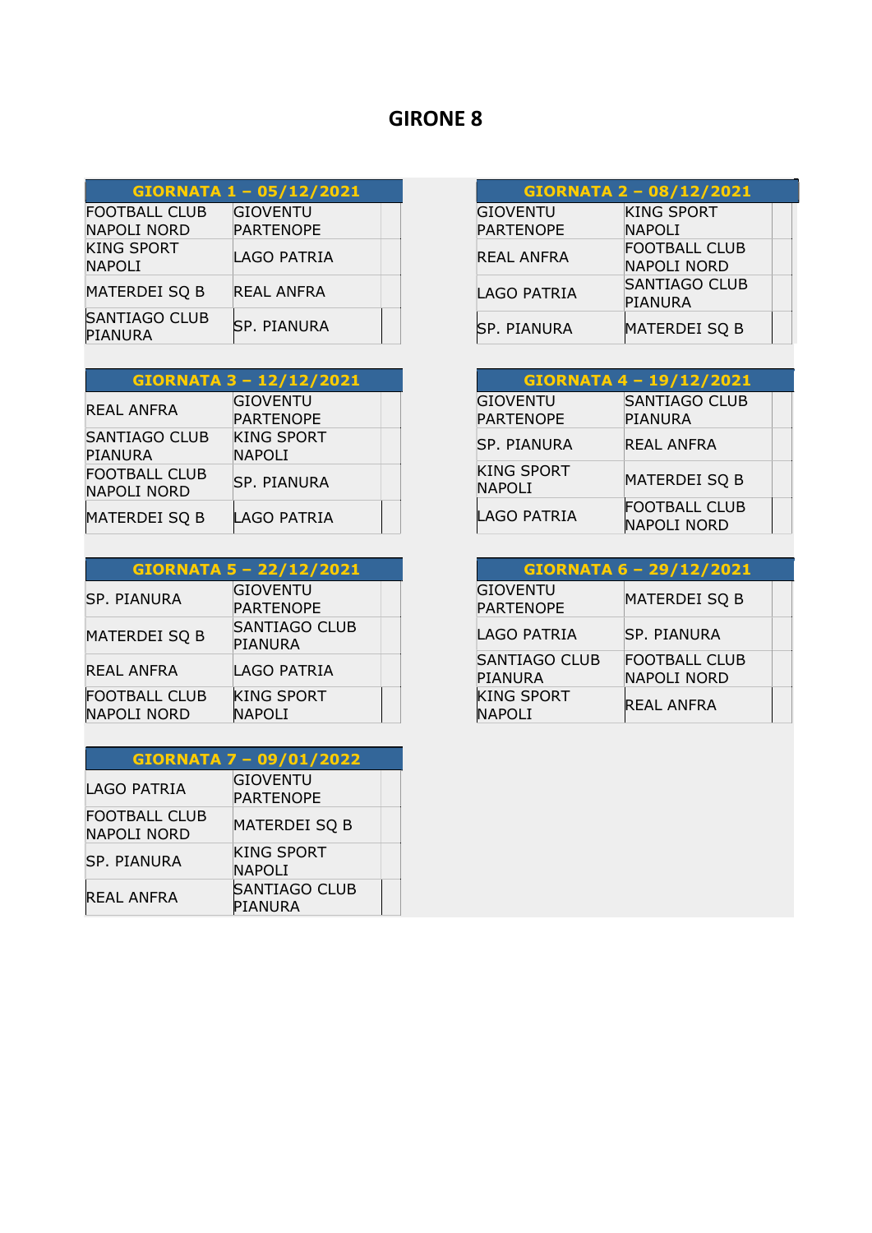| GIORNATA 1 - 05/12/2021                    |                                     |
|--------------------------------------------|-------------------------------------|
| <b>FOOTBALL CLUB</b><br><b>NAPOLI NORD</b> | <b>GIOVENTU</b><br><b>PARTENOPE</b> |
| <b>KING SPORT</b><br><b>NAPOLI</b>         | <b>LAGO PATRIA</b>                  |
| <b>MATERDEI SQ B</b>                       | REAL ANFRA                          |
| <b>SANTIAGO CLUB</b><br><b>PIANURA</b>     | <b>SP. PIANURA</b>                  |

| <b>GIORNATA 3 - 12/12/2021</b>             |                                     |  |
|--------------------------------------------|-------------------------------------|--|
| <b>REAL ANFRA</b>                          | <b>GIOVENTU</b><br><b>PARTENOPE</b> |  |
| <b>SANTIAGO CLUB</b><br><b>PIANURA</b>     | <b>KING SPORT</b><br><b>NAPOLI</b>  |  |
| <b>FOOTBALL CLUB</b><br><b>NAPOLI NORD</b> | <b>SP. PIANURA</b>                  |  |
| <b>MATERDEI SQ B</b>                       | <b>LAGO PATRIA</b>                  |  |

| GIORNATA 5 - 22/12/2021             |                                     |  |
|-------------------------------------|-------------------------------------|--|
| <b>SP. PIANURA</b>                  | <b>GIOVENTU</b><br><b>PARTENOPE</b> |  |
| <b>MATERDEI SQ B</b>                | <b>SANTIAGO CLUB</b><br>PIANURA     |  |
| REAL ANFRA                          | LAGO PATRIA                         |  |
| <b>FOOTBALL CLUB</b><br>NAPOLI NORD | <b>KING SPORT</b><br><b>NAPOLI</b>  |  |

| <b>GIORNATA 7 - 09/01/2022</b>             |                                     |  |
|--------------------------------------------|-------------------------------------|--|
| <b>LAGO PATRIA</b>                         | <b>GIOVENTU</b><br><b>PARTENOPE</b> |  |
| <b>FOOTBALL CLUB</b><br><b>NAPOLI NORD</b> | <b>MATERDEI SQ B</b>                |  |
| <b>SP. PIANURA</b>                         | <b>KING SPORT</b><br><b>NAPOLI</b>  |  |
| <b>REAL ANFRA</b>                          | <b>SANTIAGO CLUB</b><br>PIANURA     |  |

| GIORNATA 2 - 08/12/2021 |                      |  |
|-------------------------|----------------------|--|
| <b>GIOVENTU</b>         | <b>KING SPORT</b>    |  |
| <b>PARTENOPE</b>        | <b>NAPOLI</b>        |  |
| REAL ANFRA              | <b>FOOTBALL CLUB</b> |  |
|                         | NAPOLI NORD          |  |
| <b>LAGO PATRIA</b>      | <b>SANTIAGO CLUB</b> |  |
|                         | PIANURA              |  |
| <b>SP. PIANURA</b>      | MATERDEI SQ B        |  |

| <b>GIORNATA 4-19/12/2021</b>       |                                        |
|------------------------------------|----------------------------------------|
| GIOVENTU<br><b>PARTENOPE</b>       | <b>SANTIAGO CLUB</b><br><b>PIANURA</b> |
| <b>SP. PIANURA</b>                 | REAL ANFRA                             |
| <b>KING SPORT</b><br><b>NAPOLI</b> | <b>MATERDEI SQ B</b>                   |
| <b>LAGO PATRIA</b>                 | <b>FOOTBALL CLUB</b><br>NAPOLI NORD    |

| GIORNATA 6 - 29/12/2021             |                                     |  |
|-------------------------------------|-------------------------------------|--|
| <b>GIOVENTU</b><br><b>PARTENOPE</b> | <b>MATERDEI SQ B</b>                |  |
| LAGO PATRIA                         | <b>SP. PIANURA</b>                  |  |
| <b>SANTIAGO CLUB</b><br>PIANURA     | <b>FOOTBALL CLUB</b><br>NAPOLI NORD |  |
| <b>KING SPORT</b><br><b>NAPOLI</b>  | <b>REAL ANFRA</b>                   |  |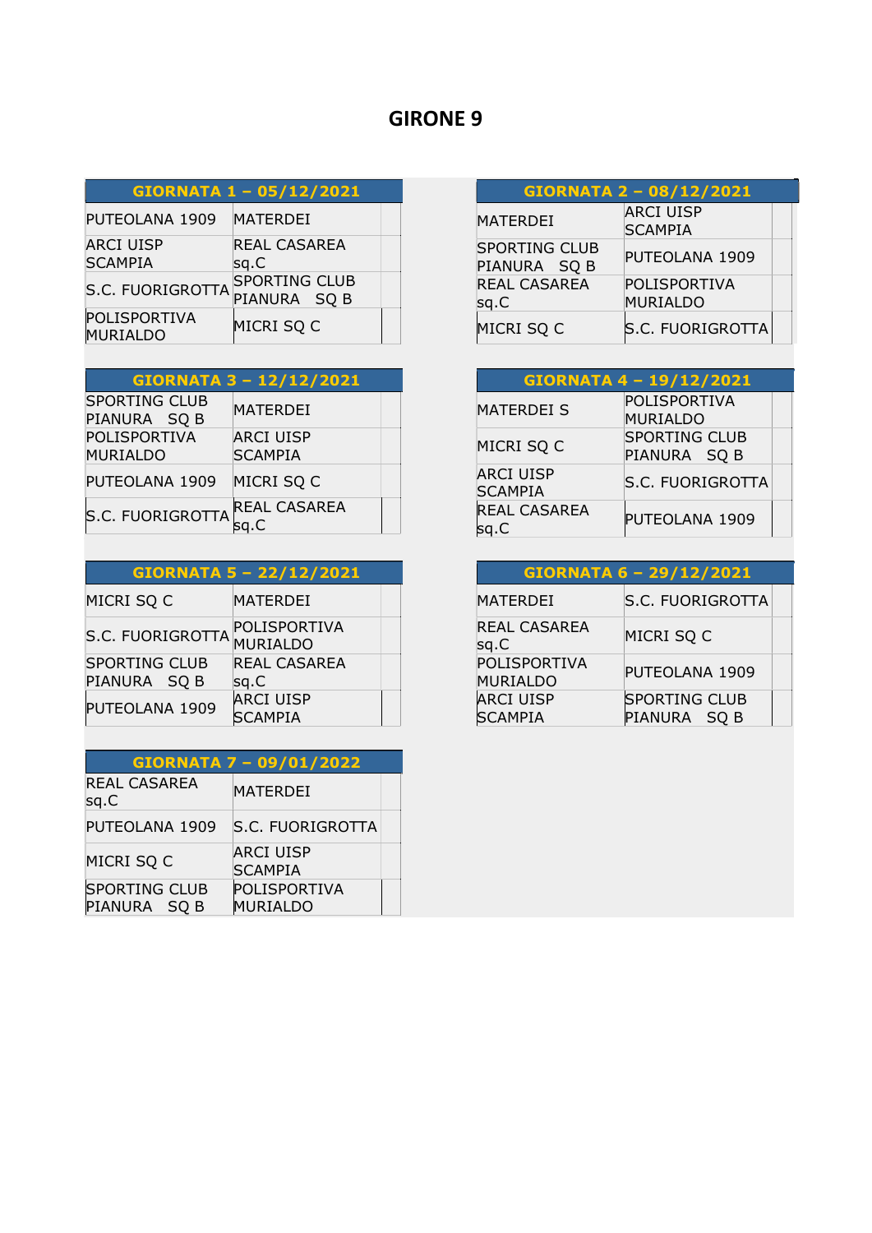| <b>GIORNATA 1 - 05/12/2021</b> |
|--------------------------------|
|--------------------------------|

| PUTEOLANA 1909                     | <b>MATERDEI</b>               |  |
|------------------------------------|-------------------------------|--|
| <b>ARCI UISP</b><br><b>SCAMPIA</b> | REAL CASAREA<br>sq.C          |  |
| S.C. FUORIGROTTA                   | SPORTING CLUB<br>PIANURA SQ B |  |
| POLISPORTIVA<br><b>MURIALDO</b>    | MICRI SQ C                    |  |

| <b>GIORNATA 3 - 12/12/2021</b>           |                                    |
|------------------------------------------|------------------------------------|
| <b>SPORTING CLUB</b><br>PIANURA SQ B     | MATERDEI                           |
| POLISPORTIVA<br><b>MURIALDO</b>          | <b>ARCI UISP</b><br><b>SCAMPIA</b> |
| PUTEOLANA 1909                           | MICRI SQ C                         |
| $\left  \text{S.C. FUORIGROTTA} \right $ | REAL CASAREA                       |

### GIORNATA 5 – 22/12/2021

| MICRI SQ C                           | MATERDEI                           |  |
|--------------------------------------|------------------------------------|--|
| S.C. FUORIGROTTA                     | POLISPORTIVA<br>MURIALDO           |  |
| <b>SPORTING CLUB</b><br>PIANURA SQ B | REAL CASAREA<br>sq.C               |  |
| PUTEOLANA 1909                       | <b>ARCI UISP</b><br><b>SCAMPIA</b> |  |

| <b>GIORNATA 7 - 09/01/2022</b>       |                                    |
|--------------------------------------|------------------------------------|
| <b>REAL CASAREA</b><br>sq.C          | <b>MATERDEI</b>                    |
| PUTEOLANA 1909                       | S.C. FUORIGROTTA                   |
| MICRI SQ C                           | <b>ARCI UISP</b><br><b>SCAMPIA</b> |
| <b>SPORTING CLUB</b><br>PIANURA SQ B | POLISPORTIVA<br>MURIALDO           |

| GIORNATA 2 - 08/12/2021              |                                    |  |
|--------------------------------------|------------------------------------|--|
| <b>MATERDEI</b>                      | <b>ARCI UISP</b><br><b>SCAMPIA</b> |  |
| <b>SPORTING CLUB</b><br>PIANURA SQ B | PUTEOLANA 1909                     |  |
| <b>REAL CASAREA</b><br>sq.C          | POLISPORTIVA<br><b>MURIALDO</b>    |  |
| MICRI SQ C                           | <b>S.C. FUORIGROTTA</b>            |  |

| GIORNATA 4 - 19/12/2021            |                                      |
|------------------------------------|--------------------------------------|
| <b>MATERDEI S</b>                  | POLISPORTIVA<br><b>MURIALDO</b>      |
| MICRI SQ C                         | <b>SPORTING CLUB</b><br>PIANURA SQ B |
| <b>ARCI UISP</b><br><b>SCAMPIA</b> | <b>S.C. FUORIGROTTA</b>              |
| <b>REAL CASAREA</b>                | PUTEOLANA 1909                       |

| GIORNATA 6 - 29/12/2021            |                                      |  |
|------------------------------------|--------------------------------------|--|
| <b>MATERDEI</b>                    | <b>S.C. FUORIGROTTA</b>              |  |
| <b>REAL CASAREA</b><br>sq.C        | MICRI SQ C                           |  |
| POLISPORTIVA<br><b>MURIALDO</b>    | PUTEOLANA 1909                       |  |
| <b>ARCI UISP</b><br><b>SCAMPIA</b> | <b>SPORTING CLUB</b><br>PIANURA SQ B |  |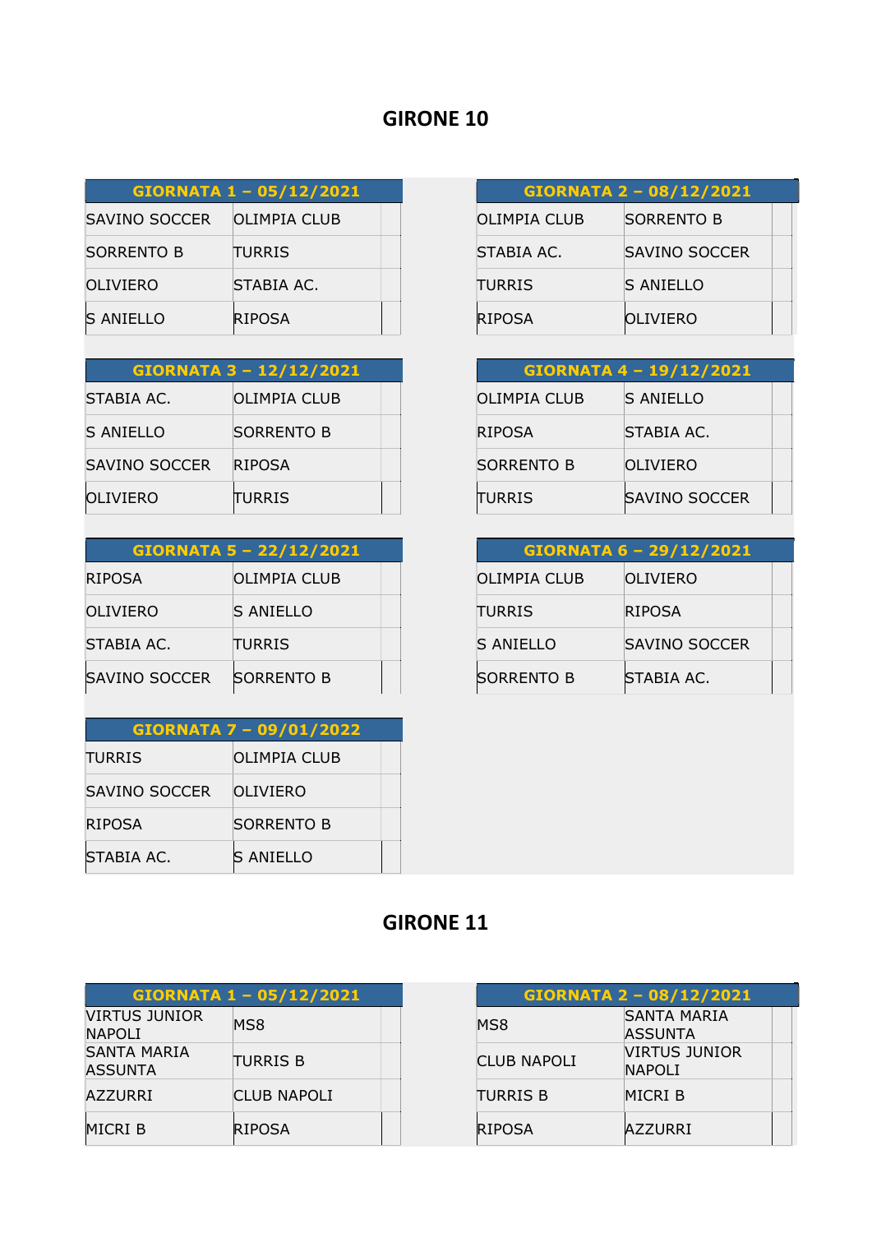| GIORNATA 1 - 05/12/2021 |               |  |
|-------------------------|---------------|--|
| SAVINO SOCCER           | OLIMPIA CLUB  |  |
| <b>SORRENTO B</b>       | <b>TURRIS</b> |  |
| OLIVIERO                | STABIA AC.    |  |
| <b>S ANIELLO</b>        | <b>RIPOSA</b> |  |

| <b>GIORNATA 3 - 12/12/2021</b> |                   |  |
|--------------------------------|-------------------|--|
| STABIA AC.                     | OLIMPIA CLUB      |  |
| <b>S ANIELLO</b>               | <b>SORRENTO B</b> |  |
| SAVINO SOCCER                  | <b>RIPOSA</b>     |  |
| OLIVIERO                       | <b>TURRIS</b>     |  |

| <b>GIORNATA 5 - 22/12/2021</b> |                   |  |
|--------------------------------|-------------------|--|
| <b>RIPOSA</b>                  | OLIMPIA CLUB      |  |
| OLIVIERO                       | <b>S ANIELLO</b>  |  |
| STABIA AC.                     | <b>TURRIS</b>     |  |
| <b>SAVINO SOCCER</b>           | <b>SORRENTO B</b> |  |

| <b>GIORNATA 7 - 09/01/2022</b> |                  |  |
|--------------------------------|------------------|--|
| <b>TURRIS</b>                  | OLIMPIA CLUB     |  |
| SAVINO SOCCER                  | OLIVIERO         |  |
| <b>RIPOSA</b>                  | SORRENTO B       |  |
| STABIA AC.                     | <b>S ANIELLO</b> |  |

| <b>GIORNATA 2 - 08/12/2021</b> |                   |  |
|--------------------------------|-------------------|--|
| OLIMPIA CLUB                   | <b>SORRENTO B</b> |  |
| STABIA AC.                     | SAVINO SOCCER     |  |
| <b>TURRIS</b>                  | S ANIELLO         |  |
| <b>RIPOSA</b>                  | <b>OLIVIERO</b>   |  |

| GIORNATA 4 - 19/12/2021 |                      |  |
|-------------------------|----------------------|--|
| <b>OLIMPIA CLUB</b>     | S ANIELLO            |  |
| <b>RIPOSA</b>           | STABIA AC.           |  |
| <b>SORRENTO B</b>       | OLIVIERO             |  |
| TURRIS                  | <b>SAVINO SOCCER</b> |  |

| GIORNATA 6 - 29/12/2021 |               |  |
|-------------------------|---------------|--|
| OLIMPIA CLUB            | OLIVIERO      |  |
| <b>TURRIS</b>           | <b>RIPOSA</b> |  |
| S ANIELLO               | SAVINO SOCCER |  |
| <b>SORRENTO B</b>       | STABIA AC.    |  |

| GIORNATA 1 - 05/12/2021              |                    |  |
|--------------------------------------|--------------------|--|
| VIRTUS JUNIOR<br><b>NAPOLI</b>       | MS8                |  |
| <b>SANTA MARIA</b><br><b>ASSUNTA</b> | <b>TURRIS B</b>    |  |
| <b>AZZURRI</b>                       | <b>CLUB NAPOLI</b> |  |
| MICRI B                              | <b>RIPOSA</b>      |  |

| <b>GIORNATA 2 - 08/12/2021</b> |                                       |
|--------------------------------|---------------------------------------|
| MS8                            | SANTA MARIA<br>ASSUNTA                |
| <b>CLUB NAPOLI</b>             | <b>VIRTUS JUNIOR</b><br><b>NAPOLI</b> |
| <b>TURRIS B</b>                | MICRI B                               |
| <b>RIPOSA</b>                  | <b>AZZURRI</b>                        |